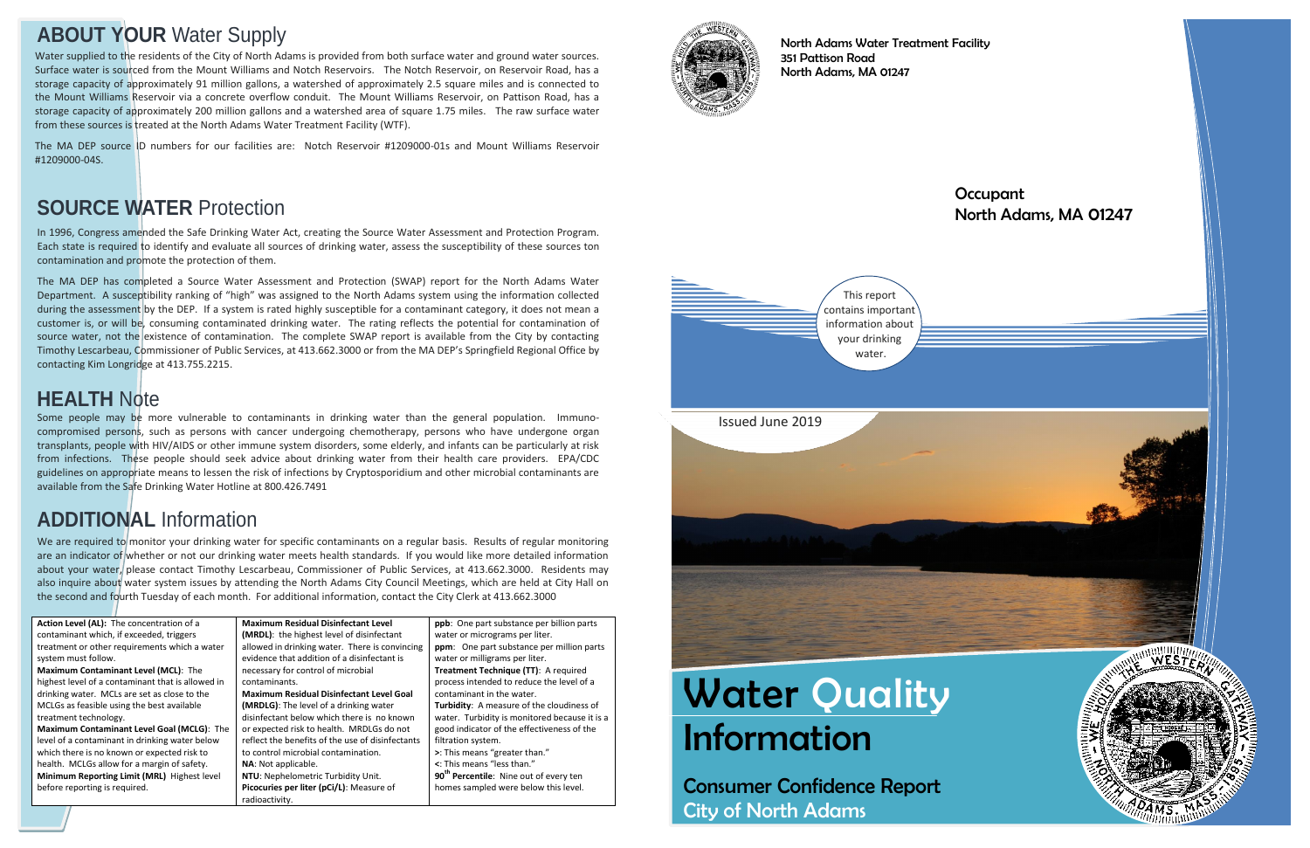# **Water Quality** Information

Consumer Confidence Report City of North Adams

#### **Occupant** North Adams, MA 01247



North Adams Water Treatment Facility 351 Pattison Road North Adams, MA 01247

# **ABOUT YOUR** Water Supply

In 1996, Congress amended the Safe Drinking Water Act, creating the Source Water Assessment and Protection Program. Each state is required to identify and evaluate all sources of drinking water, assess the susceptibility of these sources ton contamination and promote the protection of them.

The MA DEP has completed a Source Water Assessment and Protection (SWAP) report for the North Adams Water Department. A susceptibility ranking of "high" was assigned to the North Adams system using the information collected during the assessment by the DEP. If a system is rated highly susceptible for a contaminant category, it does not mean a customer is, or will be, consuming contaminated drinking water. The rating reflects the potential for contamination of source water, not the existence of contamination. The complete SWAP report is available from the City by contacting Timothy Lescarbeau, Commissioner of Public Services, at 413.662.3000 or from the MA DEP's Springfield Regional Office by contacting Kim Longridge at 413.755.2215.

We are required to monitor your drinking water for specific contaminants on a regular basis. Results of regular monitoring are an indicator of whether or not our drinking water meets health standards. If you would like more detailed information about your water, please contact Timothy Lescarbeau, Commissioner of Public Services, at 413.662.3000. Residents may also inquire about water system issues by attending the North Adams City Council Meetings, which are held at City Hall on the second and fourth Tuesday of each month. For additional information, contact the City Clerk at 413.662.3000

# **SOURCE WATER** Protection

**Action Level (AL):** The concentration of a contaminant which, if exceeded, triggers treatment or other requirements which a water system must follow. **Maximum Contaminant Level (MCL)**: The highest level of a contaminant that is allowed in drinking water. MCLs are set as close to the MCLGs as feasible using the best available treatment technology. **Maximum Contaminant Level Goal (MCLG)**: The level of a contaminant in drinking water below which there is no known or expected risk to health. MCLGs allow for a margin of safety. **Minimum Reporting Limit (MRL)** Highest level before reporting is required.



**Maximum Residual Disinfectant Level (MRDL)**: the highest level of disinfectant allowed in drinking water. There is convincing evidence that addition of a disinfectant is necessary for control of microbial contaminants. **Maximum Residual Disinfectant Level Goal (MRDLG)**: The level of a drinking water disinfectant below which there is no known or expected risk to health. MRDLGs do not reflect the benefits of the use of disinfectants to control microbial contamination. **NA**: Not applicable.

**NTU**: Nephelometric Turbidity Unit. **Picocuries per liter (pCi/L)**: Measure of radioactivity.

**ppb**: One part substance per billion parts water or micrograms per liter. **ppm**: One part substance per million parts water or milligrams per liter. **Treatment Technique (TT)**: A required process intended to reduce the level of a contaminant in the water. **Turbidity**: A measure of the cloudiness of water. Turbidity is monitored because it is a good indicator of the effectiveness of the filtration system. **>**: This means "greater than." **<**: This means "less than." **90th Percentile**: Nine out of every ten homes sampled were below this level.



# **ADDITIONAL** Information

Some people may be more vulnerable to contaminants in drinking water than the general population. Immunocompromised persons, such as persons with cancer undergoing chemotherapy, persons who have undergone organ transplants, people with HIV/AIDS or other immune system disorders, some elderly, and infants can be particularly at risk from infections. These people should seek advice about drinking water from their health care providers. EPA/CDC guidelines on appropriate means to lessen the risk of infections by Cryptosporidium and other microbial contaminants are available from the Safe Drinking Water Hotline at 800.426.7491

## **HEALTH** Note

Water supplied to the residents of the City of North Adams is provided from both surface water and ground water sources. Surface water is sourced from the Mount Williams and Notch Reservoirs. The Notch Reservoir, on Reservoir Road, has a storage capacity of approximately 91 million gallons, a watershed of approximately 2.5 square miles and is connected to the Mount Williams Reservoir via a concrete overflow conduit. The Mount Williams Reservoir, on Pattison Road, has a storage capacity of approximately 200 million gallons and a watershed area of square 1.75 miles. The raw surface water from these sources is treated at the North Adams Water Treatment Facility (WTF).

The MA DEP source ID numbers for our facilities are: Notch Reservoir #1209000-01s and Mount Williams Reservoir #1209000-04S.